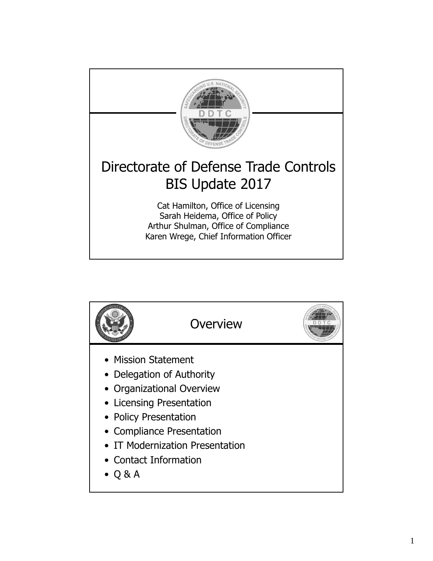

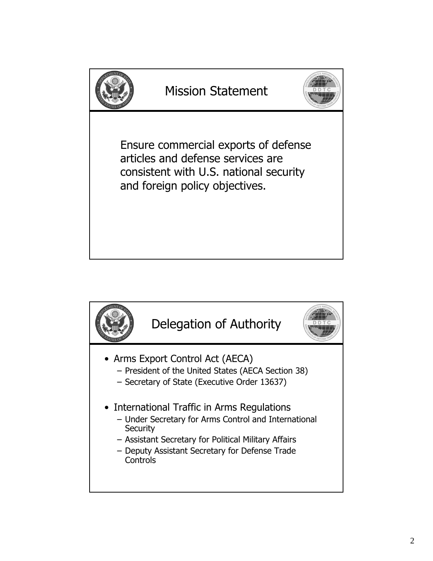

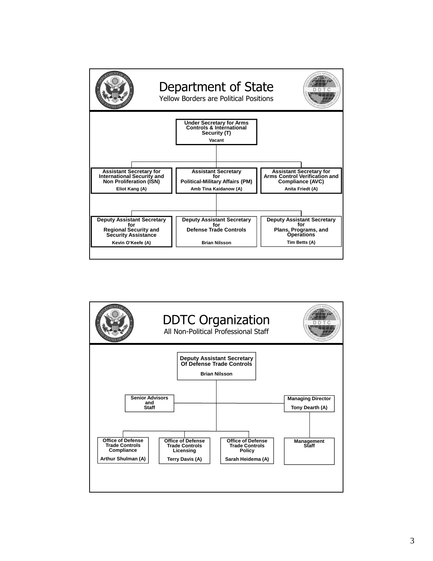

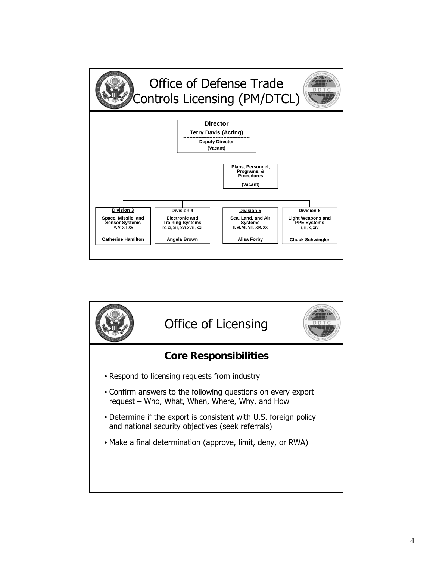

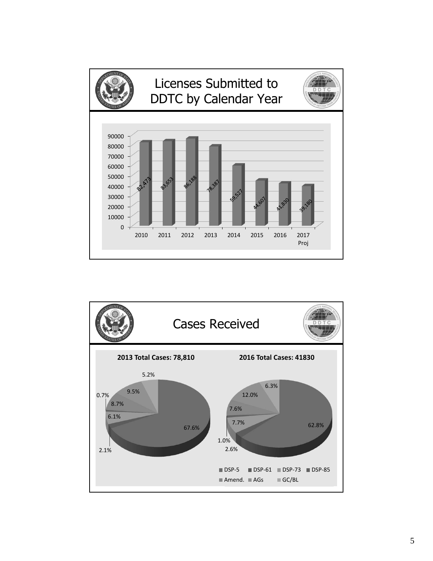

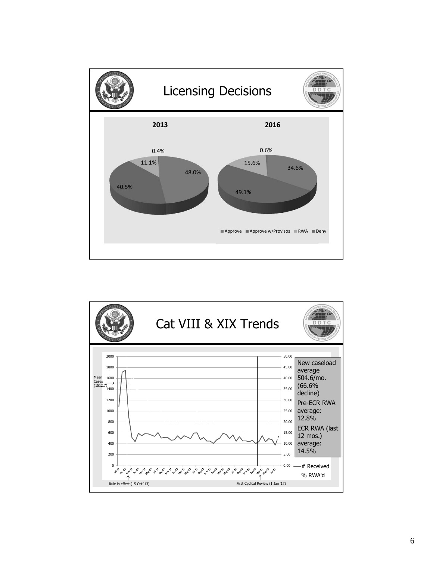

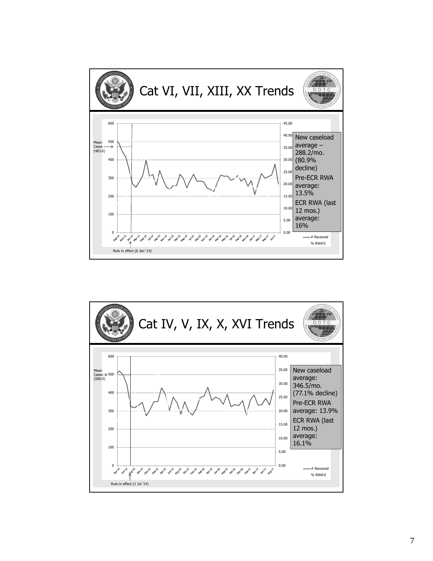

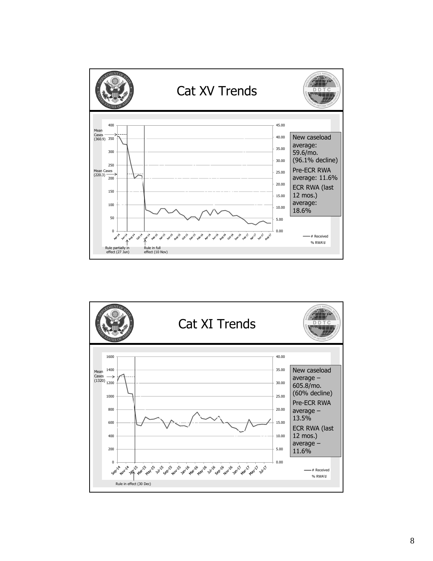

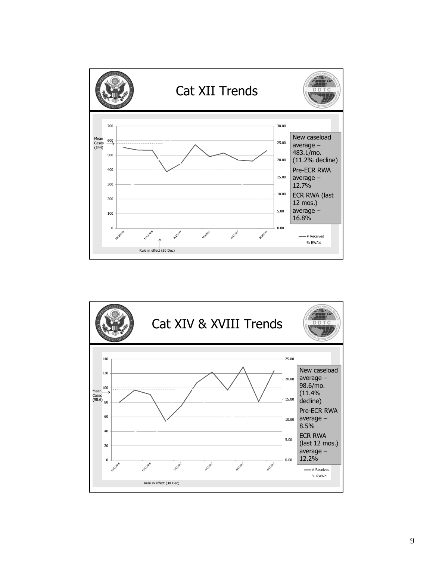

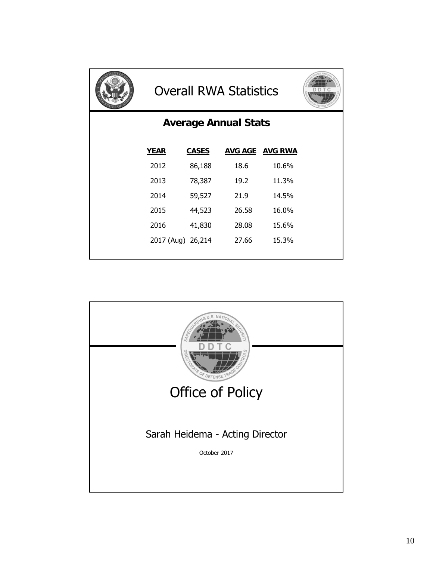

## Overall RWA Statistics



## **Average Annual Stats**

| <b>YEAR</b>       | <b>CASES</b> |       | <b>AVG AGE AVG RWA</b> |
|-------------------|--------------|-------|------------------------|
| 2012              | 86,188       | 18.6  | 10.6%                  |
| 2013              | 78,387       | 19.2  | 11.3%                  |
| 2014              | 59,527       | 21.9  | 14.5%                  |
| 2015              | 44,523       | 26.58 | 16.0%                  |
| 2016              | 41,830       | 28.08 | 15.6%                  |
| 2017 (Aug) 26,214 |              | 27.66 | 15.3%                  |
|                   |              |       |                        |

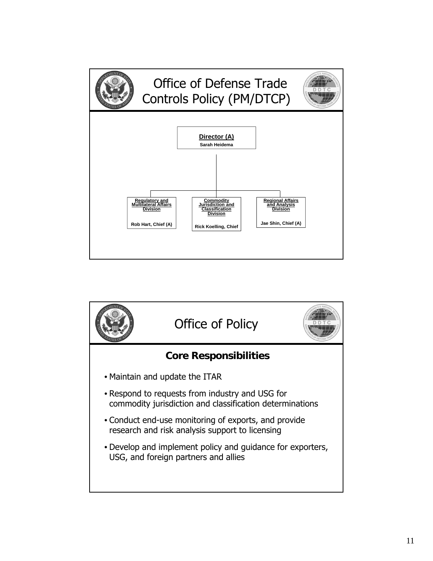

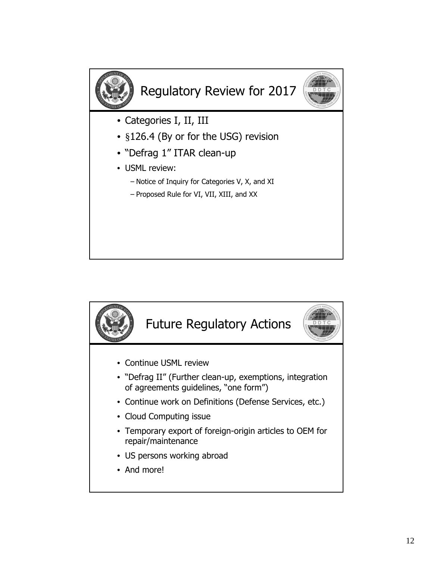

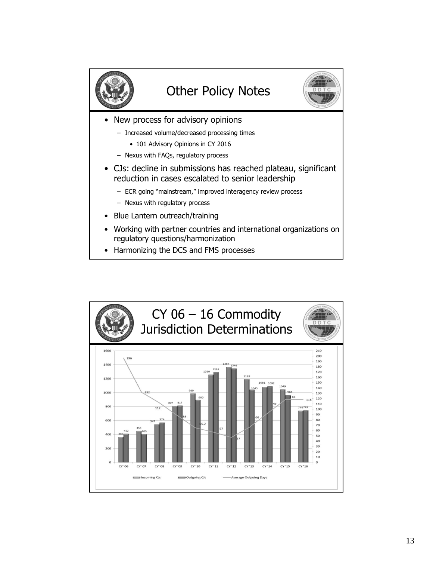

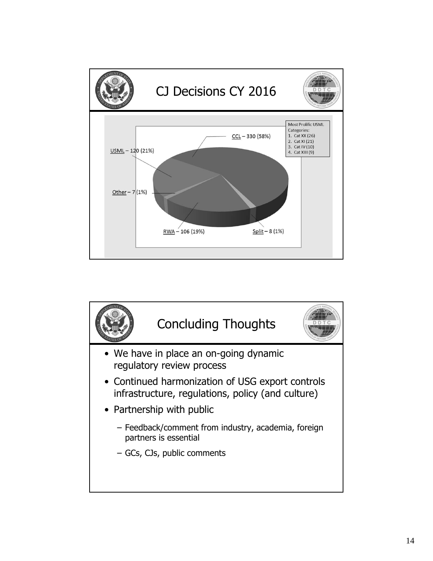

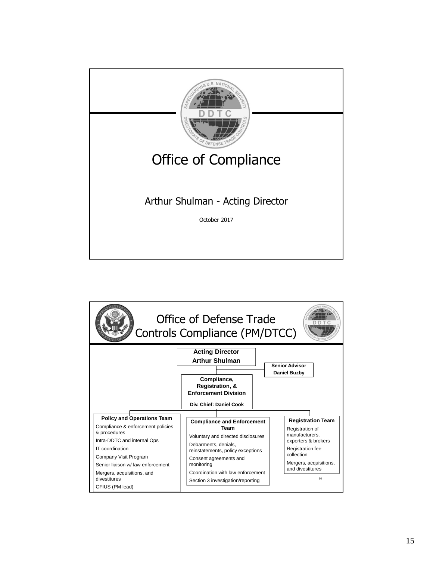

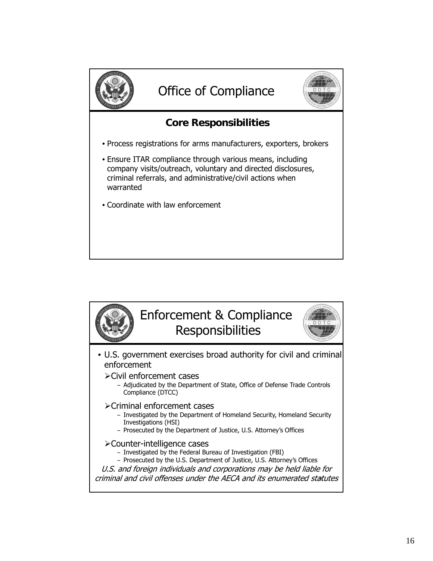

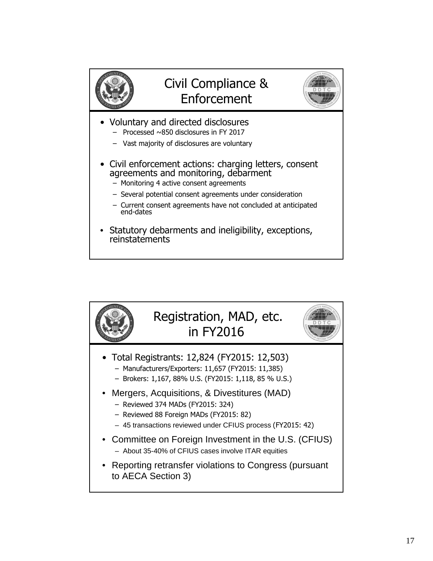

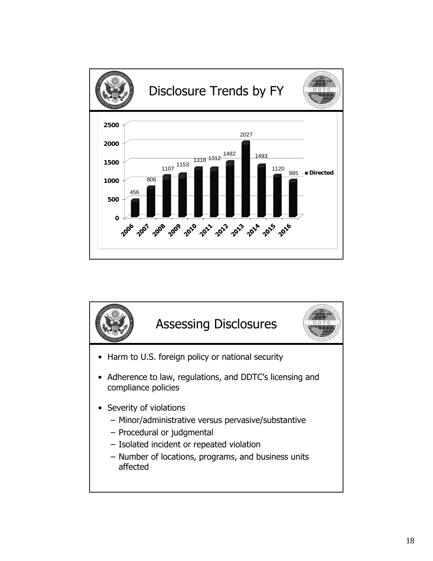

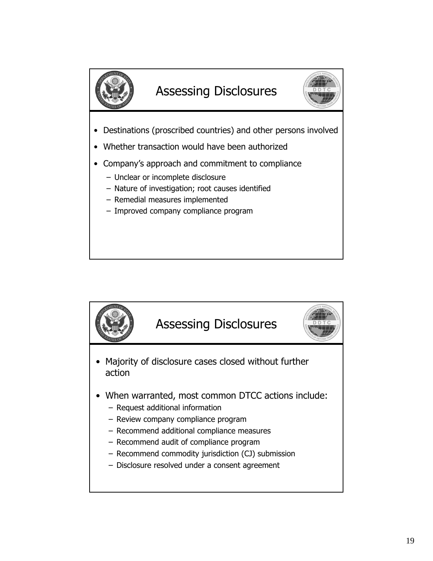

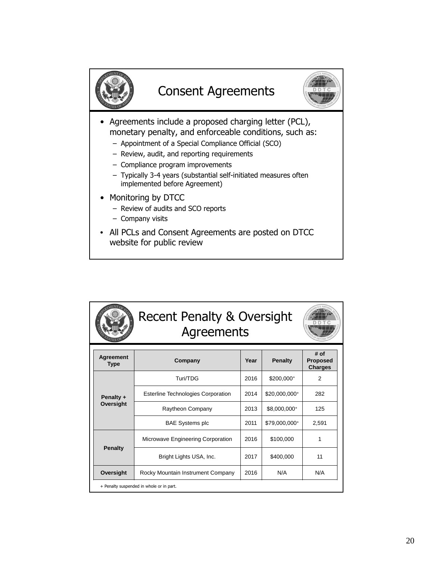

| <b>Agreement</b><br><b>Type</b>          | Company                                   | Year | <b>Penalty</b> | # of<br><b>Proposed</b><br><b>Charges</b> |  |
|------------------------------------------|-------------------------------------------|------|----------------|-------------------------------------------|--|
| Penalty +<br>Oversight                   | Turi/TDG                                  | 2016 | $$200,000^+$   | 2                                         |  |
|                                          | <b>Esterline Technologies Corporation</b> | 2014 | \$20,000,000+  | 282                                       |  |
|                                          | Raytheon Company                          | 2013 | \$8,000,000+   | 125                                       |  |
|                                          | <b>BAE Systems plc</b>                    | 2011 | \$79,000,000+  | 2.591                                     |  |
| <b>Penalty</b>                           | Microwave Engineering Corporation         | 2016 | \$100,000      | 1                                         |  |
|                                          | Bright Lights USA, Inc.                   | 2017 | \$400,000      | 11                                        |  |
| Oversight                                | Rocky Mountain Instrument Company         | 2016 | N/A            | N/A                                       |  |
| + Penalty suspended in whole or in part. |                                           |      |                |                                           |  |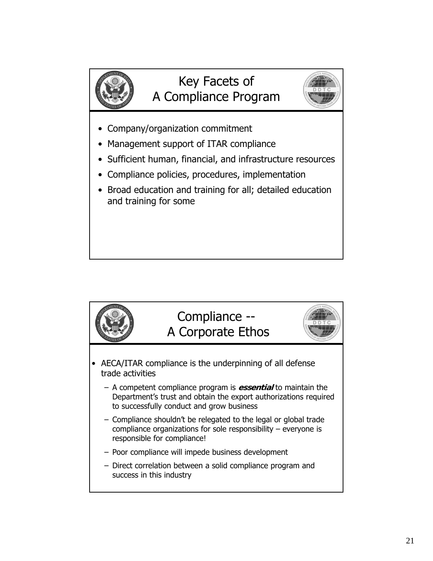

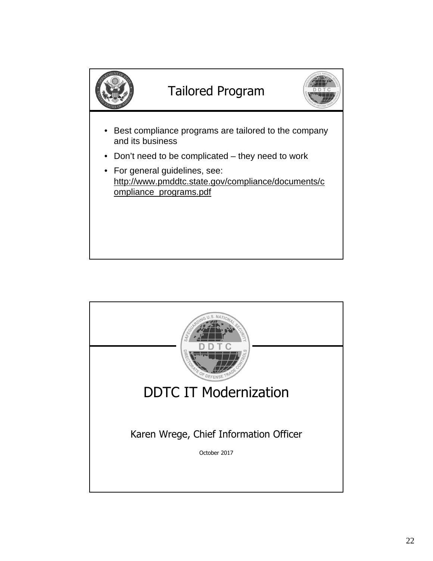

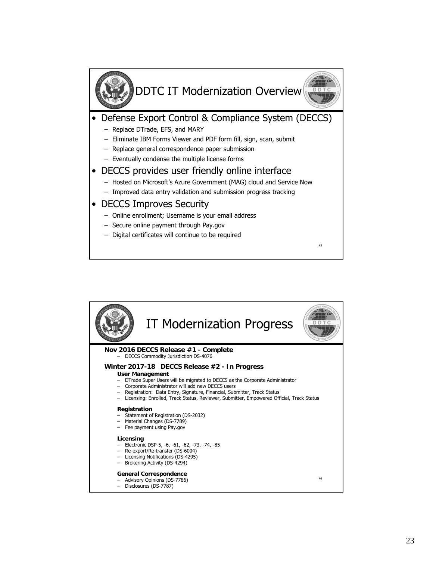

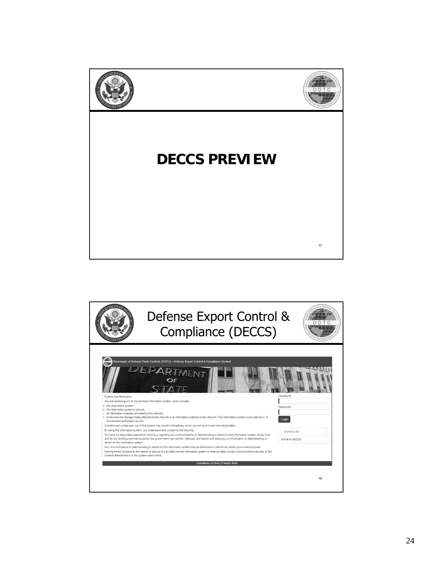

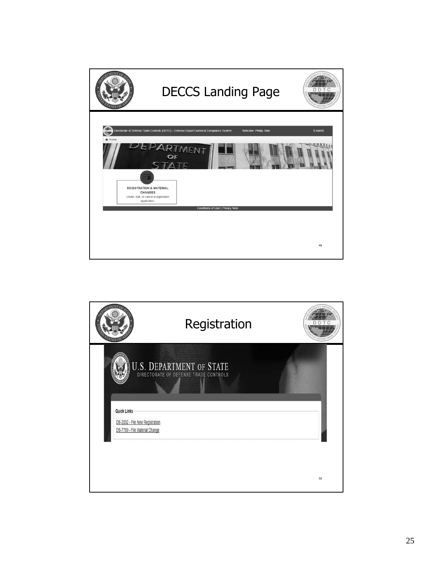

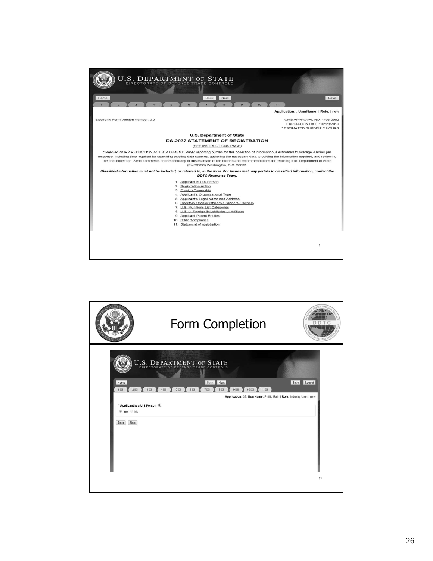

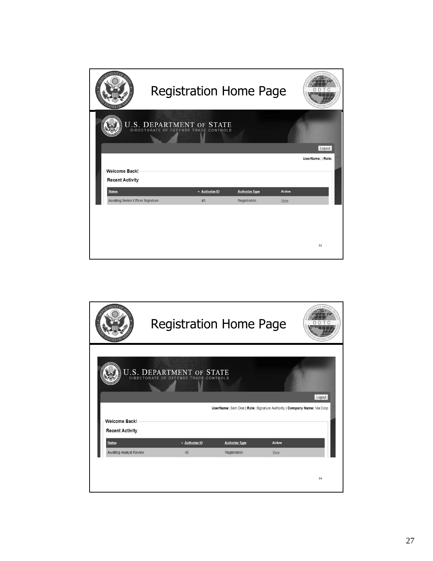

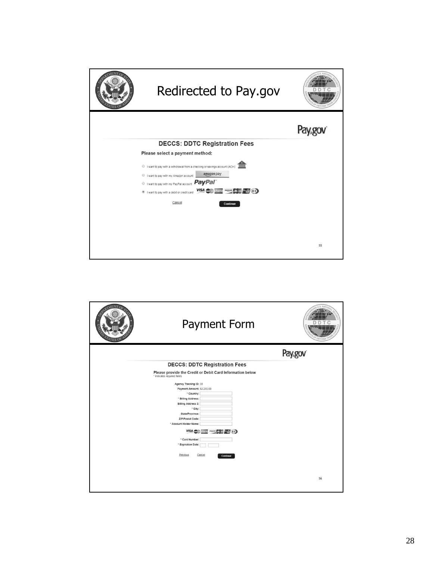

| <b>Payment Form</b>                                                                                                                                                                                                                                                                                                                         | $N\Delta$ |
|---------------------------------------------------------------------------------------------------------------------------------------------------------------------------------------------------------------------------------------------------------------------------------------------------------------------------------------------|-----------|
|                                                                                                                                                                                                                                                                                                                                             | Paygo     |
| <b>DECCS: DDTC Registration Fees</b>                                                                                                                                                                                                                                                                                                        |           |
| Please provide the Credit or Debit Card Information below<br>* indicates required fields                                                                                                                                                                                                                                                    |           |
| Agency Tracking ID: 38                                                                                                                                                                                                                                                                                                                      |           |
| Payment Amount: \$2,250.00                                                                                                                                                                                                                                                                                                                  |           |
| * Country:                                                                                                                                                                                                                                                                                                                                  |           |
| * Billing Address:                                                                                                                                                                                                                                                                                                                          |           |
| <b>Billing Address 2:</b>                                                                                                                                                                                                                                                                                                                   |           |
| * City:                                                                                                                                                                                                                                                                                                                                     |           |
| State/Province:                                                                                                                                                                                                                                                                                                                             |           |
| ZIP/Postal Code:                                                                                                                                                                                                                                                                                                                            |           |
| * Account Holder Name:                                                                                                                                                                                                                                                                                                                      |           |
| $\frac{1}{2}$ $\frac{1}{2}$ $\frac{1}{2}$ $\frac{1}{2}$ $\frac{1}{2}$ $\frac{1}{2}$ $\frac{1}{2}$ $\frac{1}{2}$ $\frac{1}{2}$ $\frac{1}{2}$ $\frac{1}{2}$ $\frac{1}{2}$ $\frac{1}{2}$ $\frac{1}{2}$ $\frac{1}{2}$ $\frac{1}{2}$ $\frac{1}{2}$ $\frac{1}{2}$ $\frac{1}{2}$ $\frac{1}{2}$ $\frac{1}{2}$ $\frac{1}{2}$<br><b>VISA</b><br>AMIEX |           |
| * Card Number:                                                                                                                                                                                                                                                                                                                              |           |
| * Expiration Date:                                                                                                                                                                                                                                                                                                                          |           |
| Previous<br>Cancel<br>Continue                                                                                                                                                                                                                                                                                                              |           |
|                                                                                                                                                                                                                                                                                                                                             |           |
|                                                                                                                                                                                                                                                                                                                                             |           |
|                                                                                                                                                                                                                                                                                                                                             | 56        |
|                                                                                                                                                                                                                                                                                                                                             |           |
|                                                                                                                                                                                                                                                                                                                                             |           |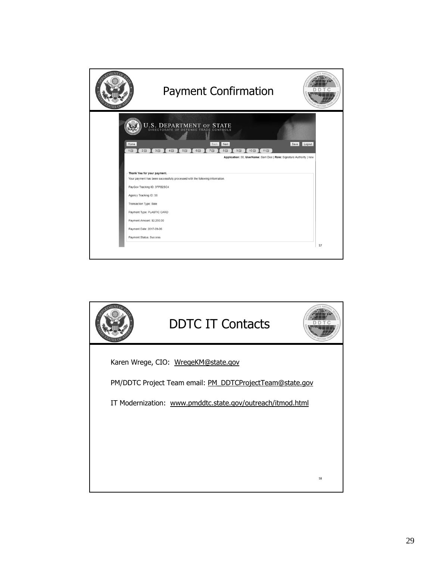